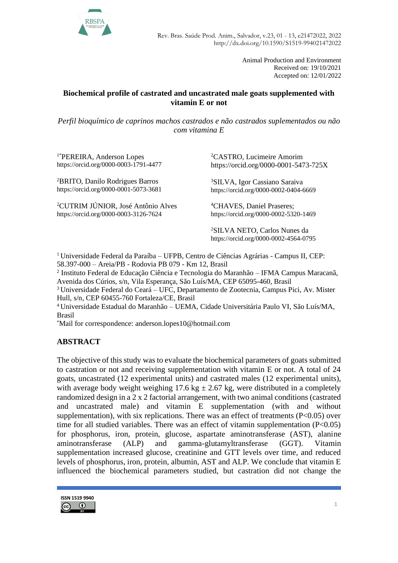

Animal Production and Environment Received on: 19/10/2021 Accepted on: 12/01/2022

### **Biochemical profile of castrated and uncastrated male goats supplemented with vitamin E or not**

*Perfil bioquímico de caprinos machos castrados e não castrados suplementados ou não com vitamina E*

1\*PEREIRA, Anderson Lopes https://orcid.org/0000-0003-1791-4477

<sup>2</sup>BRITO, Danilo Rodrigues Barros https://orcid.org/0000-0001-5073-3681

<sup>2</sup>CUTRIM JÚNIOR, José Antônio Alves https://orcid.org/0000-0003-3126-7624

<sup>2</sup>CASTRO, Lucimeire Amorim https://orcid.org/0000-0001-5473-725X

<sup>3</sup>SILVA, Igor Cassiano Saraiva https://orcid.org/0000-0002-0404-6669

<sup>4</sup>CHAVES, Daniel Praseres; https://orcid.org/0000-0002-5320-1469

<sup>2</sup>SILVA NETO, Carlos Nunes da https://orcid.org/0000-0002-4564-0795

<sup>1</sup> Universidade Federal da Paraíba – UFPB, Centro de Ciências Agrárias - Campus II, CEP: 58.397-000 – Areia/PB - Rodovia PB 079 - Km 12, Brasil

2 Instituto Federal de Educação Ciência e Tecnologia do Maranhão – IFMA Campus Maracanã, Avenida dos Cúrios, s/n, Vila Esperança, São Luís/MA, CEP 65095-460, Brasil

<sup>3</sup> Universidade Federal do Ceará – UFC, Departamento de Zootecnia, Campus Pici, Av. Mister Hull, s/n, CEP 60455-760 Fortaleza/CE, Brasil

<sup>4</sup> Universidade Estadual do Maranhão – UEMA, Cidade Universitária Paulo VI, São Luís/MA, Brasil

\*Mail for correspondence: [anderson.lopes10@hotmail.com](mailto:anderson.lopes10@hotmail.com)

# **ABSTRACT**

The objective of this study was to evaluate the biochemical parameters of goats submitted to castration or not and receiving supplementation with vitamin E or not. A total of 24 goats, uncastrated (12 experimental units) and castrated males (12 experimental units), with average body weight weighing 17.6 kg  $\pm$  2.67 kg, were distributed in a completely randomized design in a 2 x 2 factorial arrangement, with two animal conditions (castrated and uncastrated male) and vitamin E supplementation (with and without supplementation), with six replications. There was an effect of treatments  $(P<0.05)$  over time for all studied variables. There was an effect of vitamin supplementation  $(P<0.05)$ for phosphorus, iron, protein, glucose, aspartate aminotransferase (AST), alanine aminotransferase (ALP) and gamma-glutamyltransferase (GGT). Vitamin supplementation increased glucose, creatinine and GTT levels over time, and reduced levels of phosphorus, iron, protein, albumin, AST and ALP. We conclude that vitamin E influenced the biochemical parameters studied, but castration did not change the

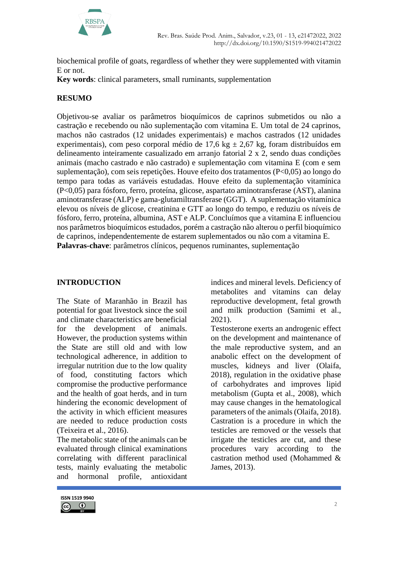

biochemical profile of goats, regardless of whether they were supplemented with vitamin E or not.

**Key words**: clinical parameters, small ruminants, supplementation

## **RESUMO**

Objetivou-se avaliar os parâmetros bioquímicos de caprinos submetidos ou não a castração e recebendo ou não suplementação com vitamina E. Um total de 24 caprinos, machos não castrados (12 unidades experimentais) e machos castrados (12 unidades experimentais), com peso corporal médio de 17,6 kg  $\pm$  2,67 kg, foram distribuídos em delineamento inteiramente casualizado em arranjo fatorial 2 x 2, sendo duas condições animais (macho castrado e não castrado) e suplementação com vitamina E (com e sem suplementação), com seis repetições. Houve efeito dos tratamentos (P<0,05) ao longo do tempo para todas as variáveis estudadas. Houve efeito da suplementação vitamínica (P<0,05) para fósforo, ferro, proteína, glicose, aspartato aminotransferase (AST), alanina aminotransferase (ALP) e gama-glutamiltransferase (GGT). A suplementação vitamínica elevou os níveis de glicose, creatinina e GTT ao longo do tempo, e reduziu os níveis de fósforo, ferro, proteína, albumina, AST e ALP. Concluímos que a vitamina E influenciou nos parâmetros bioquímicos estudados, porém a castração não alterou o perfil bioquímico de caprinos, independentemente de estarem suplementados ou não com a vitamina E. **Palavras-chave**: parâmetros clínicos, pequenos ruminantes, suplementação

## **INTRODUCTION**

The State of Maranhão in Brazil has potential for goat livestock since the soil and climate characteristics are beneficial for the development of animals. However, the production systems within the State are still old and with low technological adherence, in addition to irregular nutrition due to the low quality of food, constituting factors which compromise the productive performance and the health of goat herds, and in turn hindering the economic development of the activity in which efficient measures are needed to reduce production costs (Teixeira et al., 2016).

The metabolic state of the animals can be evaluated through clinical examinations correlating with different paraclinical tests, mainly evaluating the metabolic and hormonal profile, antioxidant indices and mineral levels. Deficiency of metabolites and vitamins can delay reproductive development, fetal growth and milk production (Samimi et al., 2021).

Testosterone exerts an androgenic effect on the development and maintenance of the male reproductive system, and an anabolic effect on the development of muscles, kidneys and liver (Olaifa, 2018), regulation in the oxidative phase of carbohydrates and improves lipid metabolism (Gupta et al., 2008), which may cause changes in the hematological parameters of the animals (Olaifa, 2018). Castration is a procedure in which the testicles are removed or the vessels that irrigate the testicles are cut, and these procedures vary according to the castration method used (Mohammed & James, 2013).

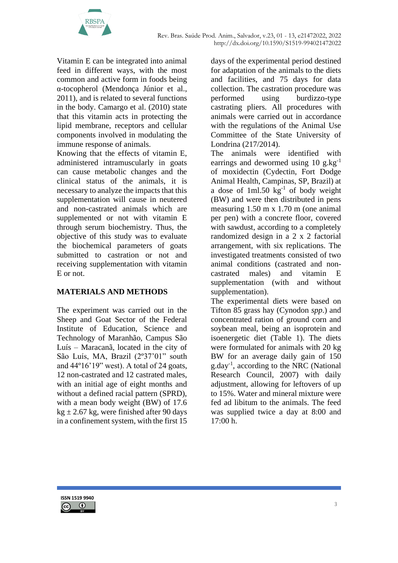

Vitamin E can be integrated into animal feed in different ways, with the most common and active form in foods being α-tocopherol (Mendonça Júnior et al., 2011), and is related to several functions in the body. Camargo et al. (2010) state that this vitamin acts in protecting the lipid membrane, receptors and cellular components involved in modulating the immune response of animals.

Knowing that the effects of vitamin E, administered intramuscularly in goats can cause metabolic changes and the clinical status of the animals, it is necessary to analyze the impacts that this supplementation will cause in neutered and non-castrated animals which are supplemented or not with vitamin E through serum biochemistry. Thus, the objective of this study was to evaluate the biochemical parameters of goats submitted to castration or not and receiving supplementation with vitamin E or not.

# **MATERIALS AND METHODS**

The experiment was carried out in the Sheep and Goat Sector of the Federal Institute of Education, Science and Technology of Maranhão, Campus São Luís – Maracanã, located in the city of São Luís, MA, Brazil (2º37'01" south and 44º16'19" west). A total of 24 goats, 12 non-castrated and 12 castrated males, with an initial age of eight months and without a defined racial pattern (SPRD), with a mean body weight (BW) of 17.6  $kg \pm 2.67$  kg, were finished after 90 days in a confinement system, with the first 15

days of the experimental period destined for adaptation of the animals to the diets and facilities, and 75 days for data collection. The castration procedure was performed using burdizzo-type castrating pliers. All procedures with animals were carried out in accordance with the regulations of the Animal Use Committee of the State University of Londrina (217/2014).

The animals were identified with earrings and dewormed using 10 g.kg<sup>-1</sup> of moxidectin (Cydectin, Fort Dodge Animal Health, Campinas, SP, Brazil) at a dose of  $1ml.50 kg<sup>-1</sup>$  of body weight (BW) and were then distributed in pens measuring 1.50 m x 1.70 m (one animal per pen) with a concrete floor, covered with sawdust, according to a completely randomized design in a 2 x 2 factorial arrangement, with six replications. The investigated treatments consisted of two animal conditions (castrated and noncastrated males) and vitamin E supplementation (with and without supplementation).

The experimental diets were based on Tifton 85 grass hay (Cynodon *spp*.) and concentrated ration of ground corn and soybean meal, being an isoprotein and isoenergetic diet (Table 1). The diets were formulated for animals with 20 kg BW for an average daily gain of 150 g.day-1 , according to the NRC (National Research Council, 2007) with daily adjustment, allowing for leftovers of up to 15%. Water and mineral mixture were fed ad libitum to the animals. The feed was supplied twice a day at 8:00 and 17:00 h.

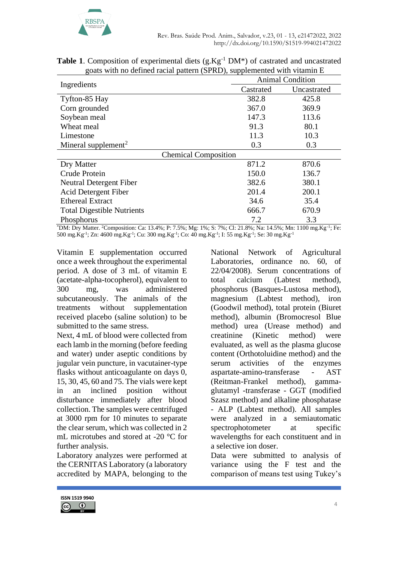

|                                   |           | <b>Animal Condition</b> |
|-----------------------------------|-----------|-------------------------|
| Ingredients                       | Castrated | Uncastrated             |
| Tyfton-85 Hay                     | 382.8     | 425.8                   |
| Corn grounded                     | 367.0     | 369.9                   |
| Soybean meal                      | 147.3     | 113.6                   |
| Wheat meal                        | 91.3      | 80.1                    |
| Limestone                         | 11.3      | 10.3                    |
| Mineral supplement <sup>2</sup>   | 0.3       | 0.3                     |
| <b>Chemical Composition</b>       |           |                         |
| Dry Matter                        | 871.2     | 870.6                   |
| Crude Protein                     | 150.0     | 136.7                   |
| <b>Neutral Detergent Fiber</b>    | 382.6     | 380.1                   |
| Acid Detergent Fiber              | 201.4     | 200.1                   |
| <b>Ethereal Extract</b>           | 34.6      | 35.4                    |
| <b>Total Digestible Nutrients</b> | 666.7     | 670.9                   |
| Phosphorus                        | 7.2       | 3.3                     |

**Table 1.** Composition of experimental diets  $(g.Kg^{-1}DM^*)$  of castrated and uncastrated goats with no defined racial pattern (SPRD), supplemented with vitamin E

\*DM: Dry Matter. <sup>2</sup>Composition: Ca: 13.4%; P: 7.5%; Mg: 1%; S: 7%; Cl: 21.8%; Na: 14.5%; Mn: 1100 mg.Kg-1 ; Fe: 500 mg.Kg<sup>-1</sup>; Zn: 4600 mg.Kg<sup>-1</sup>; Cu: 300 mg.Kg<sup>-1</sup>; Co: 40 mg.Kg<sup>-1</sup>; I: 55 mg.Kg<sup>-1</sup>; Se: 30 mg.Kg<sup>-1</sup>

Vitamin E supplementation occurred once a week throughout the experimental period. A dose of 3 mL of vitamin E (acetate-alpha-tocopherol), equivalent to 300 mg, was administered subcutaneously. The animals of the treatments without supplementation received placebo (saline solution) to be submitted to the same stress.

Next, 4 mL of blood were collected from each lamb in the morning (before feeding and water) under aseptic conditions by jugular vein puncture, in vacutainer-type flasks without anticoagulante on days 0, 15, 30, 45, 60 and 75. The vials were kept in an inclined position without disturbance immediately after blood collection. The samples were centrifuged at 3000 rpm for 10 minutes to separate the clear serum, which was collected in 2 mL microtubes and stored at -20 °C for further analysis.

Laboratory analyzes were performed at the CERNITAS Laboratory (a laboratory accredited by MAPA, belonging to the National Network of Agricultural Laboratories, ordinance no. 60, of 22/04/2008). Serum concentrations of total calcium (Labtest method), phosphorus (Basques-Lustosa method), magnesium (Labtest method), iron (Goodwil method), total protein (Biuret method), albumin (Bromocresol Blue method) urea (Urease method) and creatinine (Kinetic method) were evaluated, as well as the plasma glucose content (Orthotoluidine method) and the serum activities of the enzymes aspartate-amino-transferase - AST (Reitman-Frankel method), gammaglutamyl -transferase - GGT (modified Szasz method) and alkaline phosphatase - ALP (Labtest method). All samples were analyzed in a semiautomatic spectrophotometer at specific wavelengths for each constituent and in a selective ion doser.

Data were submitted to analysis of variance using the F test and the comparison of means test using Tukey's

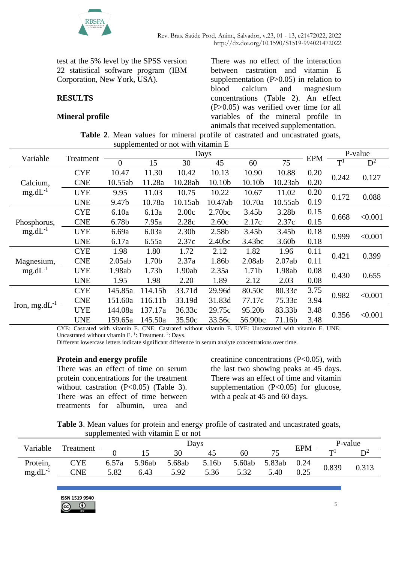

test at the 5% level by the SPSS version 22 statistical software program (IBM Corporation, New York, USA).

## **RESULTS**

### **Mineral profile**

There was no effect of the interaction between castration and vitamin E supplementation  $(P>0.05)$  in relation to blood calcium and magnesium concentrations (Table 2). An effect (P>0.05) was verified over time for all variables of the mineral profile in animals that received supplementation.

|  |  |                                    |  |  | <b>Table 2.</b> Mean values for mineral profile of castrated and uncastrated goats, |  |
|--|--|------------------------------------|--|--|-------------------------------------------------------------------------------------|--|
|  |  | supplemented or not with vitamin E |  |  |                                                                                     |  |

| Variable                    | Treatment  | Days     |                   |                   |                    |         |                   |            | P-value        |                |
|-----------------------------|------------|----------|-------------------|-------------------|--------------------|---------|-------------------|------------|----------------|----------------|
|                             |            | $\theta$ | 15                | 30                | 45                 | 60      | 75                | <b>EPM</b> | $\mathrm{T}^1$ | $\mathbf{D}^2$ |
|                             | <b>CYE</b> | 10.47    | 11.30             | 10.42             | 10.13              | 10.90   | 10.88             | 0.20       | 0.242          |                |
| Calcium,                    | <b>CNE</b> | 10.55ab  | 11.28a            | 10.28ab           | 10.10b             | 10.10b  | 10.23ab           | 0.20       |                | 0.127          |
| $mg.dL^{-1}$                | <b>UYE</b> | 9.95     | 11.03             | 10.75             | 10.22              | 10.67   | 11.02             | 0.20       | 0.172          | 0.088          |
|                             | <b>UNE</b> | 9.47b    | 10.78a            | 10.15ab           | 10.47ab            | 10.70a  | 10.55ab           | 0.19       |                |                |
| Phosphorus,<br>$mg.dL^{-1}$ | <b>CYE</b> | 6.10a    | 6.13a             | 2.00c             | 2.70 <sub>bc</sub> | 3.45b   | 3.28b             | 0.15       | 0.668          | < 0.001        |
|                             | <b>CNE</b> | 6.78b    | 7.95a             | 2.28c             | 2.60c              | 2.17c   | 2.37c             | 0.15       |                |                |
|                             | <b>UYE</b> | 6.69a    | 6.03a             | 2.30 <sub>b</sub> | 2.58b              | 3.45b   | 3.45 <sub>b</sub> | 0.18       | 0.999          | < 0.001        |
|                             | <b>UNE</b> | 6.17a    | 6.55a             | 2.37c             | 2.40 <sub>bc</sub> | 3.43bc  | 3.60 <sub>b</sub> | 0.18       |                |                |
|                             | <b>CYE</b> | 1.98     | 1.80              | 1.72              | 2.12               | 1.82    | 1.96              | 0.11       | 0.421          | 0.399          |
| Magnesium,                  | <b>CNE</b> | 2.05ab   | 1.70b             | 2.37a             | 1.86b              | 2.08ab  | 2.07ab            | 0.11       |                |                |
| $mg.dL^{-1}$                | <b>UYE</b> | 1.98ab   | 1.73 <sub>b</sub> | 1.90ab            | 2.35a              | 1.71b   | 1.98ab            | 0.08       | 0.430          | 0.655          |
|                             | <b>UNE</b> | 1.95     | 1.98              | 2.20              | 1.89               | 2.12    | 2.03              | 0.08       |                |                |
|                             | <b>CYE</b> | 145.85a  | 114.15b           | 33.71d            | 29.96d             | 80.50c  | 80.33c            | 3.75       | 0.982          | < 0.001        |
|                             | <b>CNE</b> | 151.60a  | 116.11b           | 33.19d            | 31.83d             | 77.17c  | 75.33c            | 3.94       |                |                |
| Iron, mg.d $L^{-1}$         | <b>UYE</b> | 144.08a  | 137.17a           | 36.33c            | 29.75c             | 95.20b  | 83.33b            | 3.48       |                |                |
|                             | <b>UNE</b> | 159.65a  | 145.50a           | 35.50c            | 33.56c             | 56.90bc | 71.16b            | 3.48       | 0.356          | < 0.001        |

CYE: Castrated with vitamin E. CNE: Castrated without vitamin E. UYE: Uncastrated with vitamin E. UNE: Uncastrated without vitamin E.  $1$ : Treatment.  $2$ : Days.

Different lowercase letters indicate significant difference in serum analyte concentrations over time.

#### **Protein and energy profile**

There was an effect of time on serum protein concentrations for the treatment without castration  $(P<0.05)$  (Table 3). There was an effect of time between treatments for albumin, urea and

creatinine concentrations (P<0.05), with the last two showing peaks at 45 days. There was an effect of time and vitamin supplementation (P<0.05) for glucose, with a peak at 45 and 60 days.

**Table 3**. Mean values for protein and energy profile of castrated and uncastrated goats, supplemented with vitamin E or not

|              |            |       |        | $\sim$ |       |        |        |            |         |       |
|--------------|------------|-------|--------|--------|-------|--------|--------|------------|---------|-------|
| Variable     |            | Days  |        |        |       |        |        |            | P-value |       |
|              | Treatment  |       |        |        | 45    | 60     |        | <b>EPM</b> | m       |       |
| Protein,     | <b>CYE</b> | 6.57a | 5.96ab | 5.68ab | 5.16b | 5.60ab | 5.83ab | 0.24       | 0.839   | 0.313 |
| $mg.dL^{-1}$ | <b>CNE</b> | 5.82  | 6.43   | 5.92   | 5.36  | 5.32   | 5.40   | 0.25       |         |       |
|              |            |       |        |        |       |        |        |            |         |       |

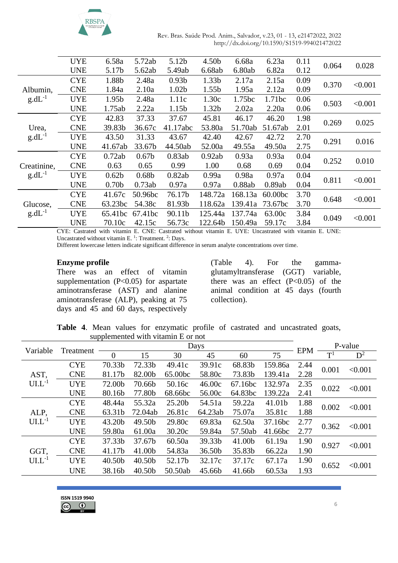

| Rev. Bras. Saúde Prod. Anim., Salvador, v.23, 01 - 13, e21472022, 2022 |
|------------------------------------------------------------------------|
| http://dx.doi.org/10.1590/S1519-994021472022                           |

|             | UYE        | 6.58a             | 5.72ab            | 5.12b             | 4.50 <sub>b</sub> | 6.68a   | 6.23a   | 0.11 | 0.064 | 0.028   |
|-------------|------------|-------------------|-------------------|-------------------|-------------------|---------|---------|------|-------|---------|
|             | <b>UNE</b> | 5.17b             | 5.62ab            | 5.49ab            | 6.68ab            | 6.80ab  | 6.82a   | 0.12 |       |         |
|             | <b>CYE</b> | 1.88b             | 2.48a             | 0.93 <sub>b</sub> | 1.33b             | 2.17a   | 2.15a   | 0.09 | 0.370 | < 0.001 |
| Albumin,    | <b>CNE</b> | 1.84a             | 2.10a             | 1.02b             | 1.55 <sub>b</sub> | 1.95a   | 2.12a   | 0.09 |       |         |
| $g.dL^{-1}$ | <b>UYE</b> | 1.95 <sub>b</sub> | 2.48a             | 1.11c             | 1.30c             | 1.75bc  | 1.71bc  | 0.06 | 0.503 | < 0.001 |
|             | <b>UNE</b> | 1.75ab            | 2.22a             | 1.15b             | 1.32b             | 2.02a   | 2.20a   | 0.06 |       |         |
|             | <b>CYE</b> | 42.83             | 37.33             | 37.67             | 45.81             | 46.17   | 46.20   | 1.98 |       | 0.025   |
| Urea,       | <b>CNE</b> | 39.83b            | 36.67c            | 41.17abc          | 53.80a            | 51.70ab | 51.67ab | 2.01 | 0.269 |         |
| $g.dL^{-1}$ | <b>UYE</b> | 43.50             | 31.33             | 43.67             | 42.40             | 42.67   | 42.72   | 2.70 |       | 0.016   |
|             | <b>UNE</b> | 41.67ab           | 33.67b            | 44.50ab           | 52.00a            | 49.55a  | 49.50a  | 2.75 | 0.291 |         |
|             | <b>CYE</b> | 0.72ab            | 0.67 <sub>b</sub> | 0.83ab            | 0.92ab            | 0.93a   | 0.93a   | 0.04 |       |         |
| Creatinine, | <b>CNE</b> | 0.63              | 0.65              | 0.99              | 1.00              | 0.68    | 0.69    | 0.04 | 0.252 | 0.010   |
| $g.dL^{-1}$ | <b>UYE</b> | 0.62 <sub>b</sub> | 0.68 <sub>b</sub> | 0.82ab            | 0.99a             | 0.98a   | 0.97a   | 0.04 |       |         |
|             | <b>UNE</b> | 0.70 <sub>b</sub> | 0.73ab            | 0.97a             | 0.97a             | 0.88ab  | 0.89ab  | 0.04 | 0.811 | < 0.001 |
|             | <b>CYE</b> | 41.67c            | 50.96bc           | 76.17b            | 148.72a           | 168.13a | 60.00bc | 3.70 |       |         |
| Glucose,    | <b>CNE</b> | 63.23bc           | 54.38c            | 81.93b            | 118.62a           | 139.41a | 73.67bc | 3.70 | 0.648 | < 0.001 |
| $g.dL^{-1}$ | <b>UYE</b> | 65.41bc           | 67.41bc           | 90.11b            | 125.44a           | 137.74a | 63.00c  | 3.84 |       |         |
|             | <b>UNE</b> | 70.10c            | 42.15c            | 56.73c            | 122.64b           | 150.49a | 59.17c  | 3.84 | 0.049 | < 0.001 |
|             |            |                   |                   |                   |                   |         |         |      |       |         |

CYE: Castrated with vitamin E. CNE: Castrated without vitamin E. UYE: Uncastrated with vitamin E. UNE: Uncastrated without vitamin E.<sup>1</sup>: Treatment.<sup>2</sup>: Days.

Different lowercase letters indicate significant difference in serum analyte concentrations over time.

#### **Enzyme profile**

There was an effect of vitamin supplementation  $(P<0.05)$  for aspartate aminotransferase (AST) and alanine aminotransferase (ALP), peaking at 75 days and 45 and 60 days, respectively (Table 4). For the gammaglutamyltransferase (GGT) variable, there was an effect  $(P<0.05)$  of the animal condition at 45 days (fourth collection).

**Table 4**. Mean values for enzymatic profile of castrated and uncastrated goats, supplemented with vitamin E or not

| Variable  | Treatment  |        | Days               |         |         |         |            |                |       | P-value |  |
|-----------|------------|--------|--------------------|---------|---------|---------|------------|----------------|-------|---------|--|
|           | $\theta$   | 15     | 30                 | 45      | 60      | 75      | <b>EPM</b> | T <sup>1</sup> | $D^2$ |         |  |
|           | <b>CYE</b> | 70.33b | 72.33b             | 49.41c  | 39.91c  | 68.83b  | 159.86a    | 2.44           |       | < 0.001 |  |
| AST,      | <b>CNE</b> | 81.17b | 82.00b             | 65.00bc | 58.80c  | 73.83b  | 139.41a    | 2.28           | 0.001 |         |  |
| $UL^{-1}$ | <b>UYE</b> | 72.00b | 70.66b             | 50.16c  | 46.00c  | 67.16bc | 132.97a    | 2.35           |       |         |  |
|           | <b>UNE</b> | 80.16b | 77.80b             | 68.66bc | 56.00c  | 64.83bc | 139.22a    | 2.41           | 0.022 | < 0.001 |  |
|           | <b>CYE</b> | 48.44a | 55.32a             | 25.20b  | 54.51a  | 59.22a  | 41.01b     | 1.88           |       |         |  |
| ALP,      | <b>CNE</b> | 63.31b | 72.04ab            | 26.81c  | 64.23ab | 75.07a  | 35.81c     | 1.88           | 0.002 | < 0.001 |  |
| $UL^{-1}$ | <b>UYE</b> | 43.20b | 49.50b             | 29.80c  | 69.83a  | 62.50a  | 37.16bc    | 2.77           | 0.362 |         |  |
|           | <b>UNE</b> | 59.80a | 61.00a             | 30.20c  | 59.84a  | 57.50ab | 41.66bc    | 2.77           |       | < 0.001 |  |
|           | <b>CYE</b> | 37.33b | 37.67b             | 60.50a  | 39.33b  | 41.00b  | 61.19a     | 1.90           |       | < 0.001 |  |
| GGT,      | <b>CNE</b> | 41.17b | 41.00b             | 54.83a  | 36.50b  | 35.83b  | 66.22a     | 1.90           | 0.927 |         |  |
| $UL^{-1}$ | <b>UYE</b> | 40.50b | 40.50 <sub>b</sub> | 52.17b  | 32.17c  | 37.17c  | 67.17a     | 1.90           |       |         |  |
|           | <b>UNE</b> | 38.16b | 40.50 <sub>b</sub> | 50.50ab | 45.66b  | 41.66b  | 60.53a     | 1.93           | 0.652 | < 0.001 |  |
|           |            |        |                    |         |         |         |            |                |       |         |  |

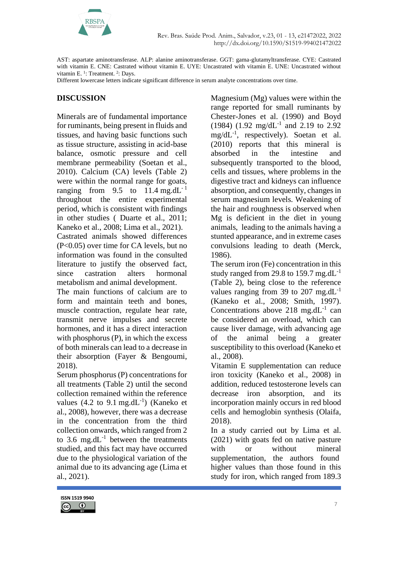

AST: aspartate aminotransferase. ALP: alanine aminotransferase. GGT: gama-glutamyltransferase. CYE: Castrated with vitamin E. CNE: Castrated without vitamin E. UYE: Uncastrated with vitamin E. UNE: Uncastrated without vitamin E.<sup>1</sup>: Treatment.<sup>2</sup>: Days.

Different lowercase letters indicate significant difference in serum analyte concentrations over time.

### **DISCUSSION**

Minerals are of fundamental importance for ruminants, being present in fluids and tissues, and having basic functions such as tissue structure, assisting in acid-base balance, osmotic pressure and cell membrane permeability (Soetan et al., 2010). Calcium (CA) levels (Table 2) were within the normal range for goats, ranging from 9.5 to  $11.4 \text{ mg}.dL^{-1}$ throughout the entire experimental period, which is consistent with findings in other studies ( Duarte et al., 2011; Kaneko et al., 2008; Lima et al., 2021).

Castrated animals showed differences (P<0.05) over time for CA levels, but no information was found in the consulted literature to justify the observed fact, since castration alters hormonal metabolism and animal development.

The main functions of calcium are to form and maintain teeth and bones, muscle contraction, regulate hear rate, transmit nerve impulses and secrete hormones, and it has a direct interaction with phosphorus (P), in which the excess of both minerals can lead to a decrease in their absorption (Fayer & Bengoumi, 2018).

Serum phosphorus (P) concentrations for all treatments (Table 2) until the second collection remained within the reference values  $(4.2 \text{ to } 9.1 \text{ mg.dL}^{-1})$  (Kaneko et al., 2008), however, there was a decrease in the concentration from the third collection onwards, which ranged from 2 to 3.6 mg.d $L^{-1}$  between the treatments studied, and this fact may have occurred due to the physiological variation of the animal due to its advancing age (Lima et al., 2021).



The serum iron (Fe) concentration in this study ranged from 29.8 to 159.7 mg.d $L^{-1}$ (Table 2), being close to the reference values ranging from 39 to 207 mg.d $L^{-1}$ (Kaneko et al., 2008; Smith, 1997). Concentrations above  $218 \text{ mg}.dL^{-1}$  can be considered an overload, which can cause liver damage, with advancing age of the animal being a greater susceptibility to this overload (Kaneko et al., 2008).

Vitamin E supplementation can reduce iron toxicity (Kaneko et al., 2008) in addition, reduced testosterone levels can decrease iron absorption, and its incorporation mainly occurs in red blood cells and hemoglobin synthesis (Olaifa, 2018).

In a study carried out by Lima et al. (2021) with goats fed on native pasture with or without mineral supplementation, the authors found higher values than those found in this study for iron, which ranged from 189.3

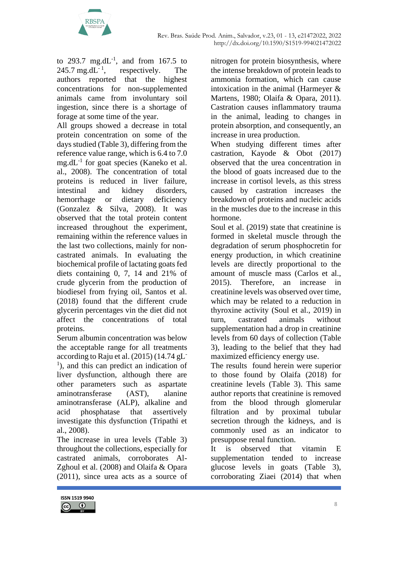

to 293.7 mg.dL<sup>-1</sup>, and from 167.5 to  $245.7$  mg.dL<sup>-1</sup>, , respectively. The authors reported that the highest concentrations for non-supplemented animals came from involuntary soil ingestion, since there is a shortage of forage at some time of the year.

All groups showed a decrease in total protein concentration on some of the days studied (Table 3), differing from the reference value range, which is 6.4 to 7.0 mg.dL<sup>-1</sup> for goat species (Kaneko et al. al., 2008). The concentration of total proteins is reduced in liver failure, intestinal and kidney disorders, hemorrhage or dietary deficiency (Gonzalez & Silva, 2008). It was observed that the total protein content increased throughout the experiment, remaining within the reference values in the last two collections, mainly for noncastrated animals. In evaluating the biochemical profile of lactating goats fed diets containing 0, 7, 14 and 21% of crude glycerin from the production of biodiesel from frying oil, Santos et al. (2018) found that the different crude glycerin percentages vin the diet did not affect the concentrations of total proteins.

Serum albumin concentration was below the acceptable range for all treatments according to Raju et al.  $(2015)$   $(14.74 \text{ gL}^{-})$ <sup>1</sup>), and this can predict an indication of liver dysfunction, although there are other parameters such as aspartate aminotransferase (AST), alanine aminotransferase (ALP), alkaline and acid phosphatase that assertively investigate this dysfunction (Tripathi et al., 2008).

The increase in urea levels (Table 3) throughout the collections, especially for castrated animals, corroborates Al-Zghoul et al. (2008) and Olaifa & Opara (2011), since urea acts as a source of nitrogen for protein biosynthesis, where the intense breakdown of protein leads to ammonia formation, which can cause intoxication in the animal (Harmeyer & Martens, 1980; Olaifa & Opara, 2011). Castration causes inflammatory trauma in the animal, leading to changes in protein absorption, and consequently, an increase in urea production.

When studying different times after castration, Kayode & Obot (2017) observed that the urea concentration in the blood of goats increased due to the increase in cortisol levels, as this stress caused by castration increases the breakdown of proteins and nucleic acids in the muscles due to the increase in this hormone.

Soul et al. (2019) state that creatinine is formed in skeletal muscle through the degradation of serum phosphocretin for energy production, in which creatinine levels are directly proportional to the amount of muscle mass (Carlos et al., 2015). Therefore, an increase in creatinine levels was observed over time, which may be related to a reduction in thyroxine activity (Soul et al., 2019) in turn, castrated animals without supplementation had a drop in creatinine levels from 60 days of collection (Table 3), leading to the belief that they had maximized efficiency energy use.

The results found herein were superior to those found by Olaifa (2018) for creatinine levels (Table 3). This same author reports that creatinine is removed from the blood through glomerular filtration and by proximal tubular secretion through the kidneys, and is commonly used as an indicator to presuppose renal function.

It is observed that vitamin E supplementation tended to increase glucose levels in goats (Table 3), corroborating Ziaei (2014) that when

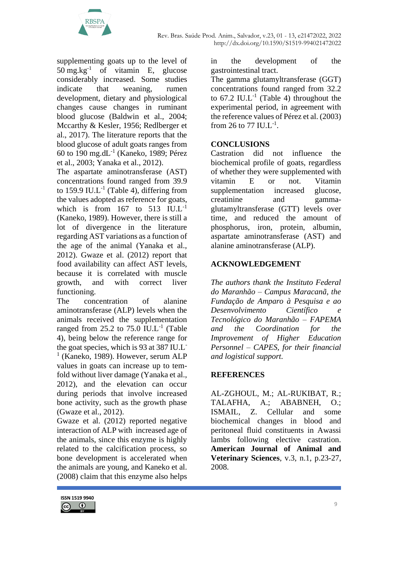

supplementing goats up to the level of 50 mg.kg<sup>-1</sup> of vitamin E, glucose considerably increased. Some studies indicate that weaning, rumen development, dietary and physiological changes cause changes in ruminant blood glucose (Baldwin et al., 2004; Mccarthy & Kesler, 1956; Redlberger et al., 2017). The literature reports that the blood glucose of adult goats ranges from 60 to 190 mg.dL-1 (Kaneko, 1989; Pérez et al., 2003; Yanaka et al., 2012).

The aspartate aminotransferase (AST) concentrations found ranged from 39.9 to 159.9 IU.L<sup>-1</sup> (Table 4), differing from the values adopted as reference for goats, which is from  $167$  to  $513$  IU.L<sup>-1</sup> (Kaneko, 1989). However, there is still a lot of divergence in the literature regarding AST variations as a function of the age of the animal (Yanaka et al., 2012). Gwaze et al. (2012) report that food availability can affect AST levels, because it is correlated with muscle growth, and with correct liver functioning.

The concentration of alanine aminotransferase (ALP) levels when the animals received the supplementation ranged from 25.2 to 75.0 IU.L<sup>-1</sup> (Table 4), being below the reference range for the goat species, which is 93 at 387 IU.L-<sup>1</sup> (Kaneko, 1989). However, serum ALP values in goats can increase up to temfold without liver damage (Yanaka et al., 2012), and the elevation can occur during periods that involve increased bone activity, such as the growth phase (Gwaze et al., 2012).

Gwaze et al. (2012) reported negative interaction of ALP with increased age of the animals, since this enzyme is highly related to the calcification process, so bone development is accelerated when the animals are young, and Kaneko et al. (2008) claim that this enzyme also helps

**ISSN 1519 9940**  $\odot$ 

in the development of the gastrointestinal tract.

The gamma glutamyltransferase (GGT) concentrations found ranged from 32.2 to  $67.2$  IU.L<sup>-1</sup> (Table 4) throughout the experimental period, in agreement with the reference values of Pérez et al. (2003) from 26 to 77 IU.L<sup>-1</sup>.

## **CONCLUSIONS**

Castration did not influence the biochemical profile of goats, regardless of whether they were supplemented with vitamin E or not. Vitamin supplementation increased glucose, creatinine and gammaglutamyltransferase (GTT) levels over time, and reduced the amount of phosphorus, iron, protein, albumin, aspartate aminotransferase (AST) and alanine aminotransferase (ALP).

# **ACKNOWLEDGEMENT**

*The authors thank the Instituto Federal do Maranhão – Campus Maracanã, the Fundação de Amparo à Pesquisa e ao Desenvolvimento Científico e Tecnológico do Maranhão – FAPEMA and the Coordination for the Improvement of Higher Education Personnel – CAPES, for their financial and logistical support.*

## **REFERENCES**

AL-ZGHOUL, M.; AL-RUKIBAT, R.; TALAFHA, A.; ABABNEH, O.; ISMAIL, Z. Cellular and some biochemical changes in blood and peritoneal fluid constituents in Awassi lambs following elective castration. **American Journal of Animal and Veterinary Sciences**, v.3, n.1, p.23-27, 2008.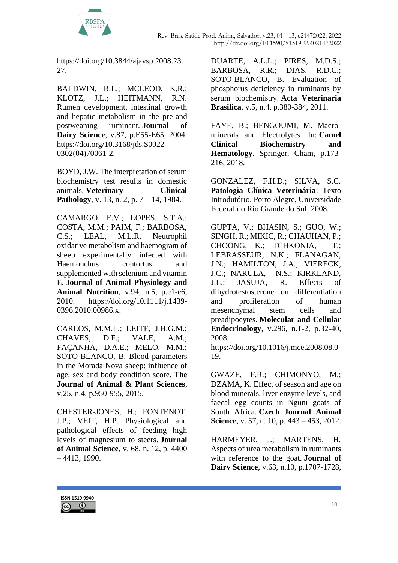

[https://doi.org/10.3844/ajavsp.2008.23.](https://doi.org/10.3844/ajavsp.2008.23.27) [27.](https://doi.org/10.3844/ajavsp.2008.23.27)

BALDWIN, R.L.; MCLEOD, K.R.; KLOTZ, J.L.; HEITMANN, R.N. Rumen development, intestinal growth and hepatic metabolism in the pre-and postweaning ruminant. **Journal of Dairy Science**, v.87, p.E55-E65, 2004. [https://doi.org/10.3168/jds.S0022-](https://doi.org/10.3168/jds.S0022-0302(04)70061-2) [0302\(04\)70061-2.](https://doi.org/10.3168/jds.S0022-0302(04)70061-2)

BOYD, J.W. The interpretation of serum biochemistry test results in domestic animals. **Veterinary Clinical Pathology**, v. 13, n. 2, p. 7 – 14, 1984.

CAMARGO, E.V.; LOPES, S.T.A.; COSTA, M.M.; PAIM, F.; BARBOSA, C.S.; LEAL, M.L.R. Neutrophil oxidative metabolism and haemogram of sheep experimentally infected with Haemonchus contortus and supplemented with selenium and vitamin E. **Journal of Animal Physiology and Animal Nutrition**, v.94, n.5, p.e1-e6, 2010. [https://doi.org/10.1111/j.1439-](https://doi.org/10.1111/j.1439-0396.2010.00986.x) [0396.2010.00986.x.](https://doi.org/10.1111/j.1439-0396.2010.00986.x)

CARLOS, M.M.L.; LEITE, J.H.G.M.; CHAVES, D.F.; VALE, A.M.; FAÇANHA, D.A.E.; MELO, M.M.; SOTO-BLANCO, B. Blood parameters in the Morada Nova sheep: influence of age, sex and body condition score. **The Journal of Animal & Plant Sciences**, v.25, n.4, p.950-955, 2015.

CHESTER-JONES, H.; FONTENOT, J.P.; VEIT, H.P. Physiological and pathological effects of feeding high levels of magnesium to steers. **Journal of Animal Science**, v. 68, n. 12, p. 4400 – 4413, 1990.

DUARTE, A.L.L.; PIRES, M.D.S.; BARBOSA, R.R.; DIAS, R.D.C.; SOTO-BLANCO, B. Evaluation of phosphorus deficiency in ruminants by serum biochemistry. **Acta Veterinaria Brasilica**, v.5, n.4, p.380-384, 2011.

FAYE, B.; BENGOUMI, M. Macrominerals and Electrolytes. In: **Camel Clinical Biochemistry and Hematology**. Springer, Cham, p.173- 216, 2018.

GONZALEZ, F.H.D.; SILVA, S.C. **Patologia Clínica Veterinária**: Texto Introdutório. Porto Alegre, Universidade Federal do Rio Grande do Sul, 2008.

GUPTA, V.; BHASIN, S.; GUO, W.; SINGH, R.; MIKIC, R.; CHAUHAN, P.; CHOONG, K.; TCHKONIA, T.; LEBRASSEUR, N.K.; FLANAGAN, J.N.; HAMILTON, J.A.; VIERECK, J.C.; NARULA, N.S.; KIRKLAND, J.L.; JASUJA, R. Effects of dihydrotestosterone on differentiation and proliferation of human mesenchymal stem cells and preadipocytes. **Molecular and Cellular Endocrinology**, v.296, n.1-2, p.32-40, 2008.

[https://doi.org/10.1016/j.mce.2008.08.0](https://doi.org/10.1016/j.mce.2008.08.019) [19.](https://doi.org/10.1016/j.mce.2008.08.019)

GWAZE, F.R.; CHIMONYO, M.; DZAMA, K. Effect of season and age on blood minerals, liver enzyme levels, and faecal egg counts in Nguni goats of South Africa. **Czech Journal Animal Science**, v. 57, n. 10, p. 443 – 453, 2012.

HARMEYER, J.; MARTENS, H. Aspects of urea metabolism in ruminants with reference to the goat. **Journal of Dairy Science**, v.63, n.10, p.1707-1728,

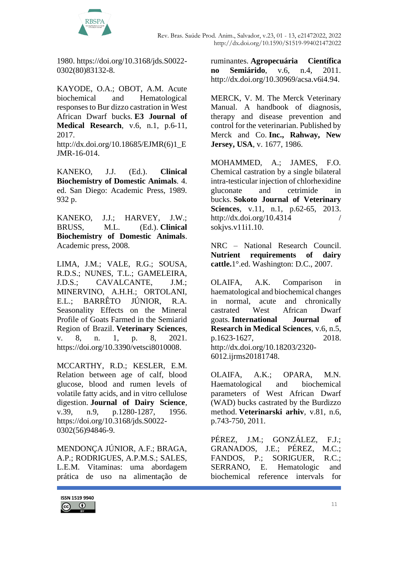

1980. [https://doi.org/10.3168/jds.S0022-](https://doi.org/10.3168/jds.S0022-0302(80)83132-8) [0302\(80\)83132-8.](https://doi.org/10.3168/jds.S0022-0302(80)83132-8)

KAYODE, O.A.; OBOT, A.M. Acute biochemical and Hematological responses to Bur dizzo castration in West African Dwarf bucks. **E3 Journal of Medical Research**, v.6, n.1, p.6-11, 2017.

[http://dx.doi.org/10.18685/EJMR\(6\)1\\_E](http://dx.doi.org/10.18685/EJMR(6)1_EJMR-16-014) [JMR-16-014.](http://dx.doi.org/10.18685/EJMR(6)1_EJMR-16-014)

KANEKO, J.J. (Ed.). **Clinical Biochemistry of Domestic Animals**. 4. ed. San Diego: Academic Press, 1989. 932 p.

KANEKO, J.J.; HARVEY, J.W.; BRUSS, M.L. (Ed.). **Clinical Biochemistry of Domestic Animals**. Academic press, 2008.

LIMA, J.M.; VALE, R.G.; SOUSA, R.D.S.; NUNES, T.L.; GAMELEIRA, J.D.S.; CAVALCANTE, J.M.; MINERVINO, A.H.H.; ORTOLANI, E.L.; BARRÊTO JÚNIOR, R.A. Seasonality Effects on the Mineral Profile of Goats Farmed in the Semiarid Region of Brazil. **Veterinary Sciences**, v. 8, n. 1, p. 8, 2021. [https://doi.org/10.3390/vetsci8010008.](https://doi.org/10.3390/vetsci8010008)

MCCARTHY, R.D.; KESLER, E.M. Relation between age of calf, blood glucose, blood and rumen levels of volatile fatty acids, and in vitro cellulose digestion. **Journal of Dairy Science**, v.39, n.9, p.1280-1287, 1956. [https://doi.org/10.3168/jds.S0022-](https://doi.org/10.3168/jds.S0022-0302(56)94846-9) [0302\(56\)94846-9.](https://doi.org/10.3168/jds.S0022-0302(56)94846-9)

MENDONÇA JÚNIOR, A.F.; BRAGA, A.P.; RODRIGUES, A.P.M.S.; SALES, L.E.M. Vitaminas: uma abordagem prática de uso na alimentação de

ruminantes. **Agropecuária Científica no Semiárido**, v.6, n.4, 2011. [http://dx.doi.org/10.30969/acsa.v6i4.94.](http://dx.doi.org/10.30969/acsa.v6i4.94)

MERCK, V. M. The Merck Veterinary Manual. A handbook of diagnosis, therapy and disease prevention and control for the veterinarian. Published by Merck and Co. **Inc., Rahway, New Jersey, USA**, v. 1677, 1986.

MOHAMMED, A.; JAMES, F.O. Chemical castration by a single bilateral intra-testicular injection of chlorhexidine gluconate and cetrimide in bucks. **Sokoto Journal of Veterinary Sciences**, v.11, n.1, p.62-65, 2013. http://dx.doi.org/10.4314 [sokjvs.v11i1.10.](http://dx.doi.org/10.4314%20/%20sokjvs.v11i1.10)

NRC – National Research Council. **Nutrient requirements of dairy cattle.**1°.ed. Washington: D.C., 2007.

OLAIFA, A.K. Comparison in haematological and biochemical changes in normal, acute and chronically castrated West African Dwarf goats. **International Journal of Research in Medical Sciences**, v.6, n.5, p.1623-1627, 2018. [http://dx.doi.org/10.18203/2320-](http://dx.doi.org/10.18203/2320-6012.ijrms20181748) [6012.ijrms20181748.](http://dx.doi.org/10.18203/2320-6012.ijrms20181748)

OLAIFA, A.K.; OPARA, M.N. Haematological and biochemical parameters of West African Dwarf (WAD) bucks castrated by the Burdizzo method. **Veterinarski arhiv**, v.81, n.6, p.743-750, 2011.

PÉREZ, J.M.; GONZÁLEZ, F.J.; GRANADOS, J.E.; PÉREZ, M.C.; FANDOS, P.: SORIGUER, R.C.: SERRANO, E. Hematologic and biochemical reference intervals for

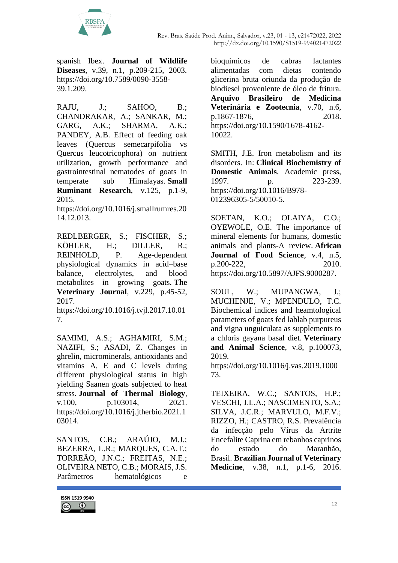

spanish Ibex. **Journal of Wildlife Diseases**, v.39, n.1, p.209-215, 2003. [https://doi.org/10.7589/0090-3558-](https://doi.org/10.7589/0090-3558-39.1.209) [39.1.209.](https://doi.org/10.7589/0090-3558-39.1.209)

RAJU, J.: SAHOO, B.: CHANDRAKAR, A.; SANKAR, M.; GARG, A.K.; SHARMA, A.K.; PANDEY, A.B. Effect of feeding oak leaves (Quercus semecarpifolia vs Quercus leucotricophora) on nutrient utilization, growth performance and gastrointestinal nematodes of goats in temperate sub Himalayas. **Small Ruminant Research**, v.125, p.1-9, 2015.

[https://doi.org/10.1016/j.smallrumres.20](https://doi.org/10.1016/j.smallrumres.2014.12.013) [14.12.013.](https://doi.org/10.1016/j.smallrumres.2014.12.013)

REDLBERGER, S.; FISCHER, S.; KÖHLER, H.; DILLER, R.; REINHOLD, P. Age-dependent physiological dynamics in acid–base balance, electrolytes, and blood metabolites in growing goats. **The Veterinary Journal**, v.229, p.45-52, 2017.

[https://doi.org/10.1016/j.tvjl.2017.10.01](https://doi.org/10.1016/j.tvjl.2017.10.017) [7.](https://doi.org/10.1016/j.tvjl.2017.10.017)

SAMIMI, A.S.; AGHAMIRI, S.M.; NAZIFI, S.; ASADI, Z. Changes in ghrelin, microminerals, antioxidants and vitamins A, E and C levels during different physiological status in high yielding Saanen goats subjected to heat stress. **Journal of Thermal Biology**, v.100, p.103014, 2021. [https://doi.org/10.1016/j.jtherbio.2021.1](https://doi.org/10.1016/j.jtherbio.2021.103014) [03014.](https://doi.org/10.1016/j.jtherbio.2021.103014)

SANTOS, C.B.; ARAÚJO, M.J.; BEZERRA, L.R.; MARQUES, C.A.T.; TORREÃO, J.N.C.; FREITAS, N.E.; OLIVEIRA NETO, C.B.; MORAIS, J.S. Parâmetros hematológicos e



bioquímicos de cabras lactantes alimentadas com dietas contendo glicerina bruta oriunda da produção de biodiesel proveniente de óleo de fritura. **Arquivo Brasileiro de Medicina Veterinária e Zootecnia**, v.70, n.6, p.1867-1876, 2018. [https://doi.org/10.1590/1678-4162-](https://doi.org/10.1590/1678-4162-10022) [10022.](https://doi.org/10.1590/1678-4162-10022)

SMITH, J.E. Iron metabolism and its disorders. In: **Clinical Biochemistry of Domestic Animals**. Academic press, 1997. p. 223-239. [https://doi.org/10.1016/B978-](https://doi.org/10.1016/B978-012396305-5/50010-5) [012396305-5/50010-5.](https://doi.org/10.1016/B978-012396305-5/50010-5)

SOETAN, K.O.; OLAIYA, C.O.; OYEWOLE, O.E. The importance of mineral elements for humans, domestic animals and plants-A review. **African Journal of Food Science**, v.4, n.5, p.200-222, 2010. [https://doi.org/10.5897/AJFS.9000287.](https://doi.org/10.5897/AJFS.9000287)

SOUL, W.; MUPANGWA, J.; MUCHENJE, V.; MPENDULO, T.C. Biochemical indices and heamtological parameters of goats fed lablab purpureus and vigna unguiculata as supplements to a chloris gayana basal diet. **Veterinary and Animal Science**, v.8, p.100073, 2019.

[https://doi.org/10.1016/j.vas.2019.1000](https://doi.org/10.1016/j.vas.2019.100073) [73.](https://doi.org/10.1016/j.vas.2019.100073)

TEIXEIRA, W.C.; SANTOS, H.P.; VESCHI, J.L.A.; NASCIMENTO, S.A.; SILVA, J.C.R.; MARVULO, M.F.V.; RIZZO, H.; CASTRO, R.S. Prevalência da infecção pelo Vírus da Artrite Encefalite Caprina em rebanhos caprinos do estado do Maranhão, Brasil. **Brazilian Journal of Veterinary Medicine**, v.38, n.1, p.1-6, 2016.